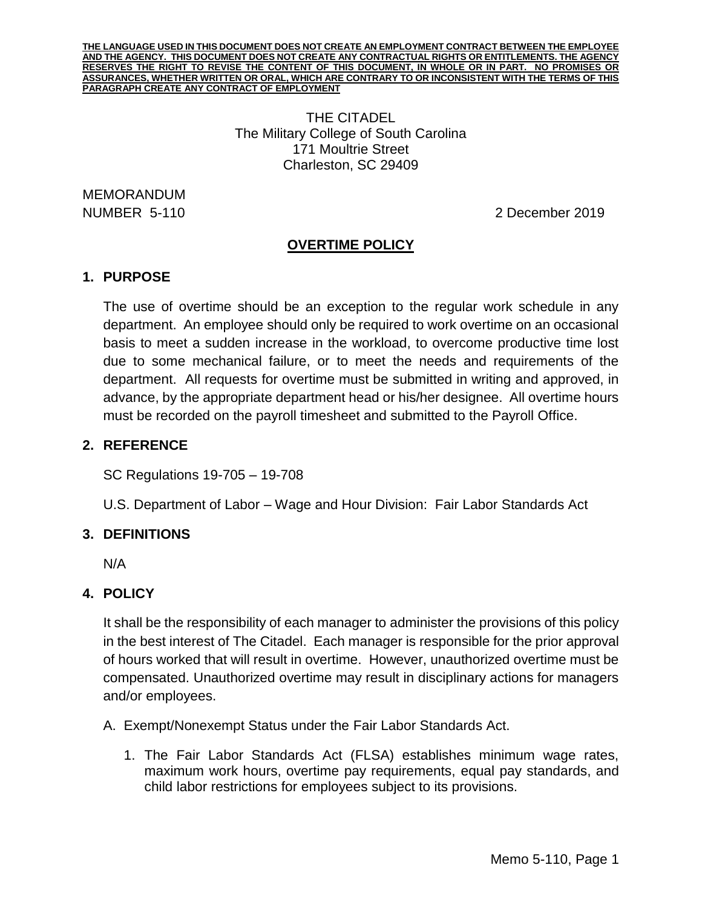> THE CITADEL The Military College of South Carolina 171 Moultrie Street Charleston, SC 29409

MEMORANDUM

NUMBER 5-110 2 December 2019

## **OVERTIME POLICY**

# **1. PURPOSE**

The use of overtime should be an exception to the regular work schedule in any department. An employee should only be required to work overtime on an occasional basis to meet a sudden increase in the workload, to overcome productive time lost due to some mechanical failure, or to meet the needs and requirements of the department. All requests for overtime must be submitted in writing and approved, in advance, by the appropriate department head or his/her designee. All overtime hours must be recorded on the payroll timesheet and submitted to the Payroll Office.

### **2. REFERENCE**

SC Regulations 19-705 – 19-708

U.S. Department of Labor – Wage and Hour Division: Fair Labor Standards Act

## **3. DEFINITIONS**

N/A

## **4. POLICY**

It shall be the responsibility of each manager to administer the provisions of this policy in the best interest of The Citadel. Each manager is responsible for the prior approval of hours worked that will result in overtime. However, unauthorized overtime must be compensated. Unauthorized overtime may result in disciplinary actions for managers and/or employees.

A. Exempt/Nonexempt Status under the Fair Labor Standards Act.

1. The Fair Labor Standards Act (FLSA) establishes minimum wage rates, maximum work hours, overtime pay requirements, equal pay standards, and child labor restrictions for employees subject to its provisions.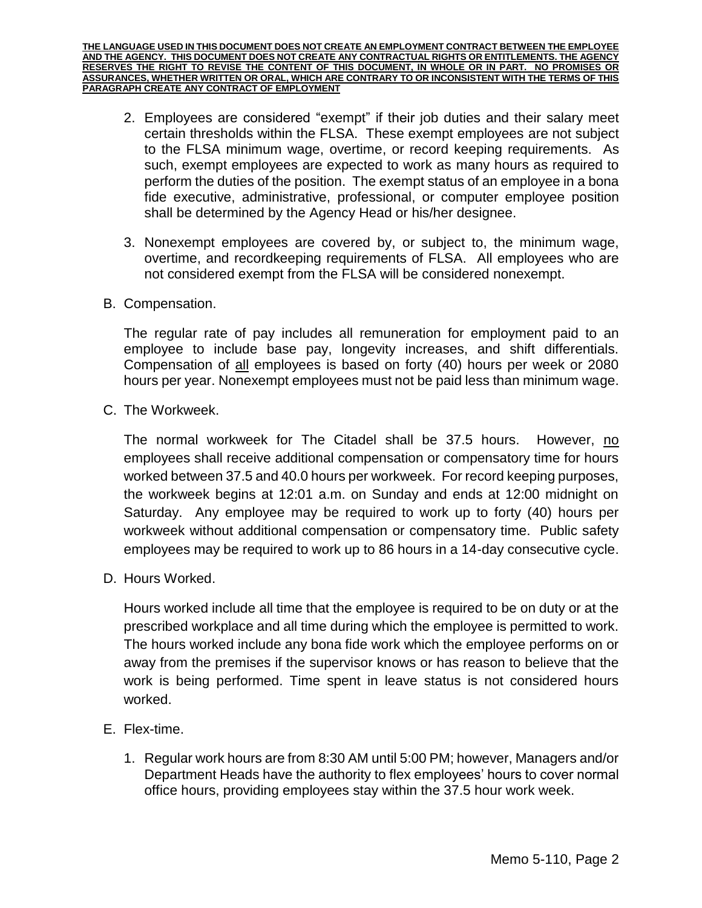- 2. Employees are considered "exempt" if their job duties and their salary meet certain thresholds within the FLSA. These exempt employees are not subject to the FLSA minimum wage, overtime, or record keeping requirements. As such, exempt employees are expected to work as many hours as required to perform the duties of the position. The exempt status of an employee in a bona fide executive, administrative, professional, or computer employee position shall be determined by the Agency Head or his/her designee.
- 3. Nonexempt employees are covered by, or subject to, the minimum wage, overtime, and recordkeeping requirements of FLSA. All employees who are not considered exempt from the FLSA will be considered nonexempt.
- B. Compensation.

The regular rate of pay includes all remuneration for employment paid to an employee to include base pay, longevity increases, and shift differentials. Compensation of all employees is based on forty (40) hours per week or 2080 hours per year. Nonexempt employees must not be paid less than minimum wage.

C. The Workweek.

The normal workweek for The Citadel shall be 37.5 hours. However, no employees shall receive additional compensation or compensatory time for hours worked between 37.5 and 40.0 hours per workweek. For record keeping purposes, the workweek begins at 12:01 a.m. on Sunday and ends at 12:00 midnight on Saturday. Any employee may be required to work up to forty (40) hours per workweek without additional compensation or compensatory time. Public safety employees may be required to work up to 86 hours in a 14-day consecutive cycle.

D. Hours Worked.

Hours worked include all time that the employee is required to be on duty or at the prescribed workplace and all time during which the employee is permitted to work. The hours worked include any bona fide work which the employee performs on or away from the premises if the supervisor knows or has reason to believe that the work is being performed. Time spent in leave status is not considered hours worked.

- E. Flex-time.
	- 1. Regular work hours are from 8:30 AM until 5:00 PM; however, Managers and/or Department Heads have the authority to flex employees' hours to cover normal office hours, providing employees stay within the 37.5 hour work week.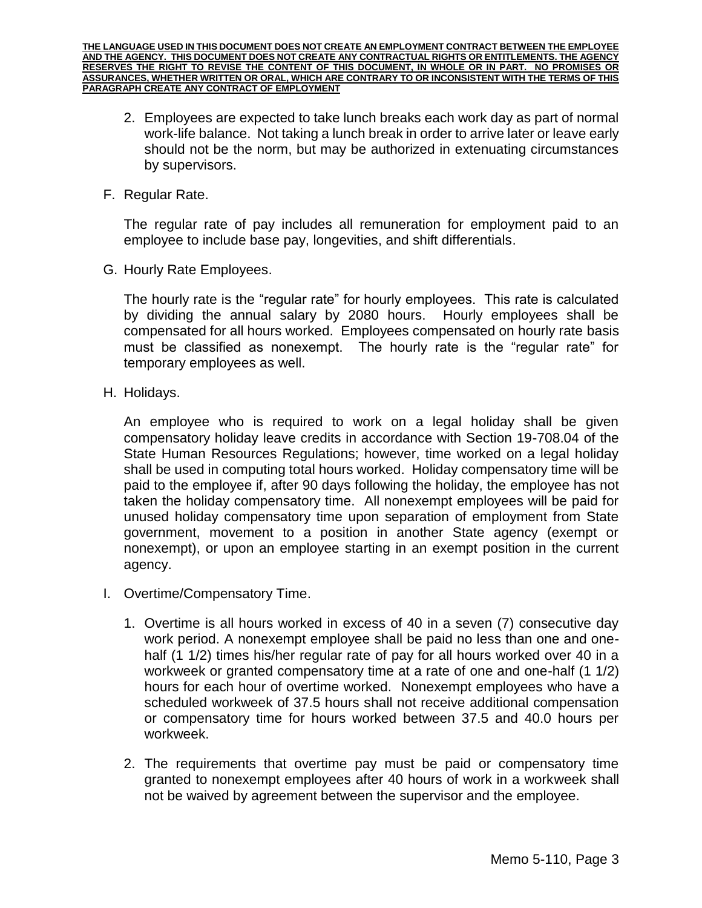- 2. Employees are expected to take lunch breaks each work day as part of normal work-life balance. Not taking a lunch break in order to arrive later or leave early should not be the norm, but may be authorized in extenuating circumstances by supervisors.
- F. Regular Rate.

The regular rate of pay includes all remuneration for employment paid to an employee to include base pay, longevities, and shift differentials.

G. Hourly Rate Employees.

The hourly rate is the "regular rate" for hourly employees. This rate is calculated by dividing the annual salary by 2080 hours. Hourly employees shall be compensated for all hours worked. Employees compensated on hourly rate basis must be classified as nonexempt. The hourly rate is the "regular rate" for temporary employees as well.

H. Holidays.

An employee who is required to work on a legal holiday shall be given compensatory holiday leave credits in accordance with Section 19-708.04 of the State Human Resources Regulations; however, time worked on a legal holiday shall be used in computing total hours worked. Holiday compensatory time will be paid to the employee if, after 90 days following the holiday, the employee has not taken the holiday compensatory time. All nonexempt employees will be paid for unused holiday compensatory time upon separation of employment from State government, movement to a position in another State agency (exempt or nonexempt), or upon an employee starting in an exempt position in the current agency.

- I. Overtime/Compensatory Time.
	- 1. Overtime is all hours worked in excess of 40 in a seven (7) consecutive day work period. A nonexempt employee shall be paid no less than one and onehalf (1 1/2) times his/her regular rate of pay for all hours worked over 40 in a workweek or granted compensatory time at a rate of one and one-half (1 1/2) hours for each hour of overtime worked. Nonexempt employees who have a scheduled workweek of 37.5 hours shall not receive additional compensation or compensatory time for hours worked between 37.5 and 40.0 hours per workweek.
	- 2. The requirements that overtime pay must be paid or compensatory time granted to nonexempt employees after 40 hours of work in a workweek shall not be waived by agreement between the supervisor and the employee.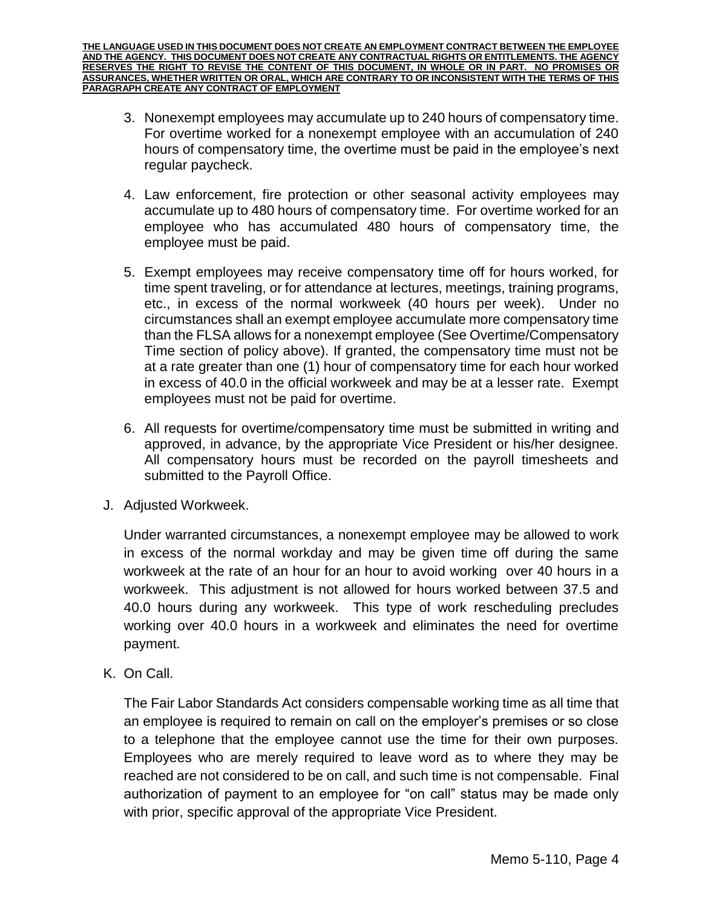- 3. Nonexempt employees may accumulate up to 240 hours of compensatory time. For overtime worked for a nonexempt employee with an accumulation of 240 hours of compensatory time, the overtime must be paid in the employee's next regular paycheck.
- 4. Law enforcement, fire protection or other seasonal activity employees may accumulate up to 480 hours of compensatory time. For overtime worked for an employee who has accumulated 480 hours of compensatory time, the employee must be paid.
- 5. Exempt employees may receive compensatory time off for hours worked, for time spent traveling, or for attendance at lectures, meetings, training programs, etc., in excess of the normal workweek (40 hours per week). Under no circumstances shall an exempt employee accumulate more compensatory time than the FLSA allows for a nonexempt employee (See Overtime/Compensatory Time section of policy above). If granted, the compensatory time must not be at a rate greater than one (1) hour of compensatory time for each hour worked in excess of 40.0 in the official workweek and may be at a lesser rate. Exempt employees must not be paid for overtime.
- 6. All requests for overtime/compensatory time must be submitted in writing and approved, in advance, by the appropriate Vice President or his/her designee. All compensatory hours must be recorded on the payroll timesheets and submitted to the Payroll Office.
- J. Adjusted Workweek.

Under warranted circumstances, a nonexempt employee may be allowed to work in excess of the normal workday and may be given time off during the same workweek at the rate of an hour for an hour to avoid working over 40 hours in a workweek. This adjustment is not allowed for hours worked between 37.5 and 40.0 hours during any workweek. This type of work rescheduling precludes working over 40.0 hours in a workweek and eliminates the need for overtime payment.

K. On Call.

The Fair Labor Standards Act considers compensable working time as all time that an employee is required to remain on call on the employer's premises or so close to a telephone that the employee cannot use the time for their own purposes. Employees who are merely required to leave word as to where they may be reached are not considered to be on call, and such time is not compensable. Final authorization of payment to an employee for "on call" status may be made only with prior, specific approval of the appropriate Vice President.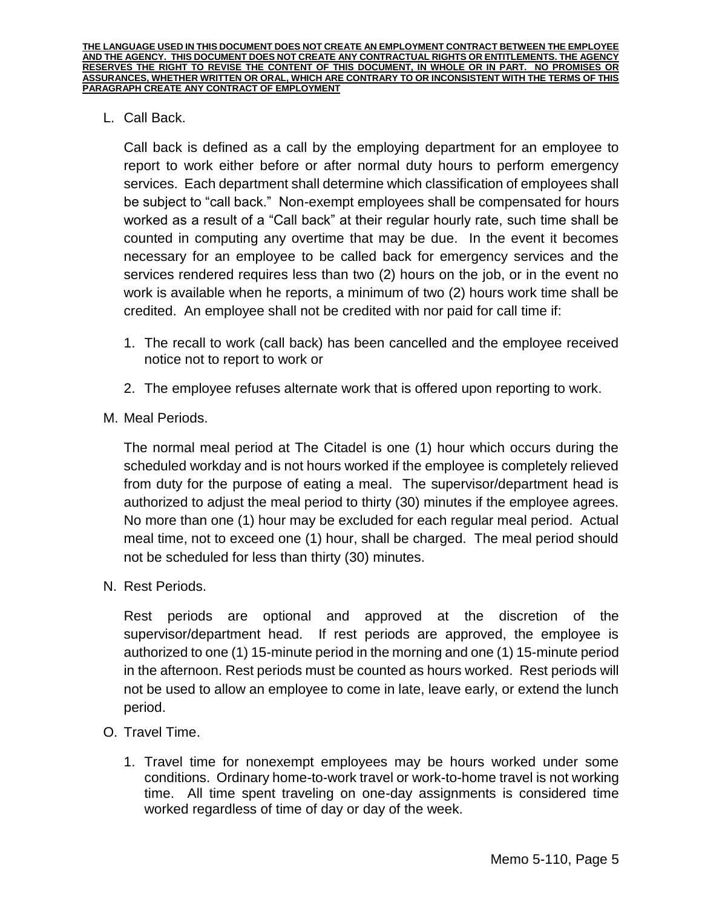L. Call Back.

Call back is defined as a call by the employing department for an employee to report to work either before or after normal duty hours to perform emergency services. Each department shall determine which classification of employees shall be subject to "call back." Non-exempt employees shall be compensated for hours worked as a result of a "Call back" at their regular hourly rate, such time shall be counted in computing any overtime that may be due. In the event it becomes necessary for an employee to be called back for emergency services and the services rendered requires less than two (2) hours on the job, or in the event no work is available when he reports, a minimum of two (2) hours work time shall be credited. An employee shall not be credited with nor paid for call time if:

- 1. The recall to work (call back) has been cancelled and the employee received notice not to report to work or
- 2. The employee refuses alternate work that is offered upon reporting to work.
- M. Meal Periods.

The normal meal period at The Citadel is one (1) hour which occurs during the scheduled workday and is not hours worked if the employee is completely relieved from duty for the purpose of eating a meal. The supervisor/department head is authorized to adjust the meal period to thirty (30) minutes if the employee agrees. No more than one (1) hour may be excluded for each regular meal period. Actual meal time, not to exceed one (1) hour, shall be charged. The meal period should not be scheduled for less than thirty (30) minutes.

N. Rest Periods.

Rest periods are optional and approved at the discretion of the supervisor/department head. If rest periods are approved, the employee is authorized to one (1) 15-minute period in the morning and one (1) 15-minute period in the afternoon. Rest periods must be counted as hours worked. Rest periods will not be used to allow an employee to come in late, leave early, or extend the lunch period.

- O. Travel Time.
	- 1. Travel time for nonexempt employees may be hours worked under some conditions. Ordinary home-to-work travel or work-to-home travel is not working time. All time spent traveling on one-day assignments is considered time worked regardless of time of day or day of the week.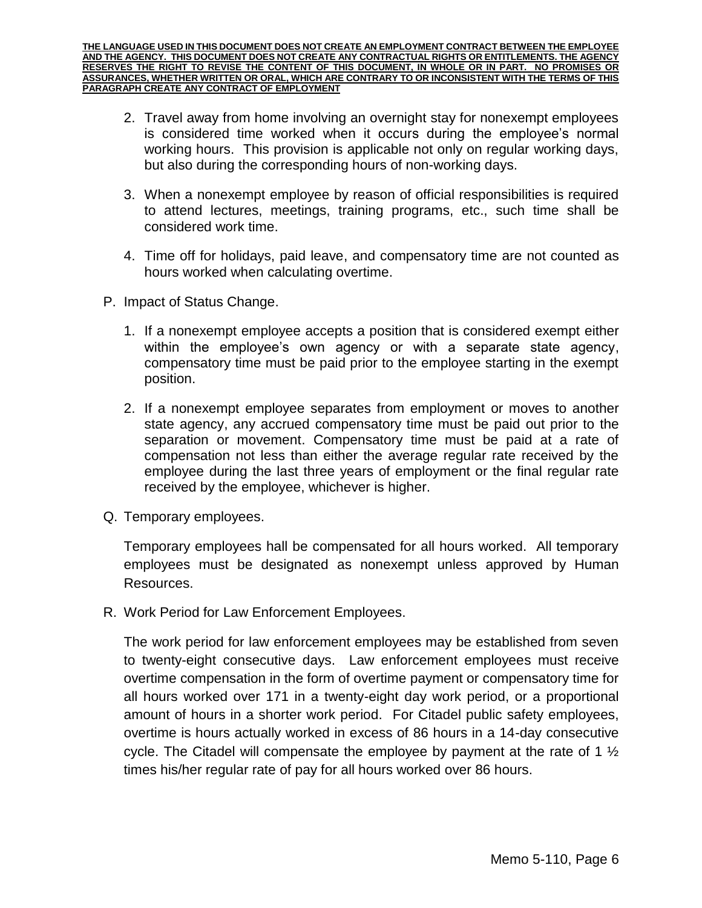- 2. Travel away from home involving an overnight stay for nonexempt employees is considered time worked when it occurs during the employee's normal working hours. This provision is applicable not only on regular working days, but also during the corresponding hours of non-working days.
- 3. When a nonexempt employee by reason of official responsibilities is required to attend lectures, meetings, training programs, etc., such time shall be considered work time.
- 4. Time off for holidays, paid leave, and compensatory time are not counted as hours worked when calculating overtime.
- P. Impact of Status Change.
	- 1. If a nonexempt employee accepts a position that is considered exempt either within the employee's own agency or with a separate state agency, compensatory time must be paid prior to the employee starting in the exempt position.
	- 2. If a nonexempt employee separates from employment or moves to another state agency, any accrued compensatory time must be paid out prior to the separation or movement. Compensatory time must be paid at a rate of compensation not less than either the average regular rate received by the employee during the last three years of employment or the final regular rate received by the employee, whichever is higher.
- Q. Temporary employees.

Temporary employees hall be compensated for all hours worked. All temporary employees must be designated as nonexempt unless approved by Human Resources.

R. Work Period for Law Enforcement Employees.

The work period for law enforcement employees may be established from seven to twenty-eight consecutive days. Law enforcement employees must receive overtime compensation in the form of overtime payment or compensatory time for all hours worked over 171 in a twenty-eight day work period, or a proportional amount of hours in a shorter work period. For Citadel public safety employees, overtime is hours actually worked in excess of 86 hours in a 14-day consecutive cycle. The Citadel will compensate the employee by payment at the rate of 1 ½ times his/her regular rate of pay for all hours worked over 86 hours.